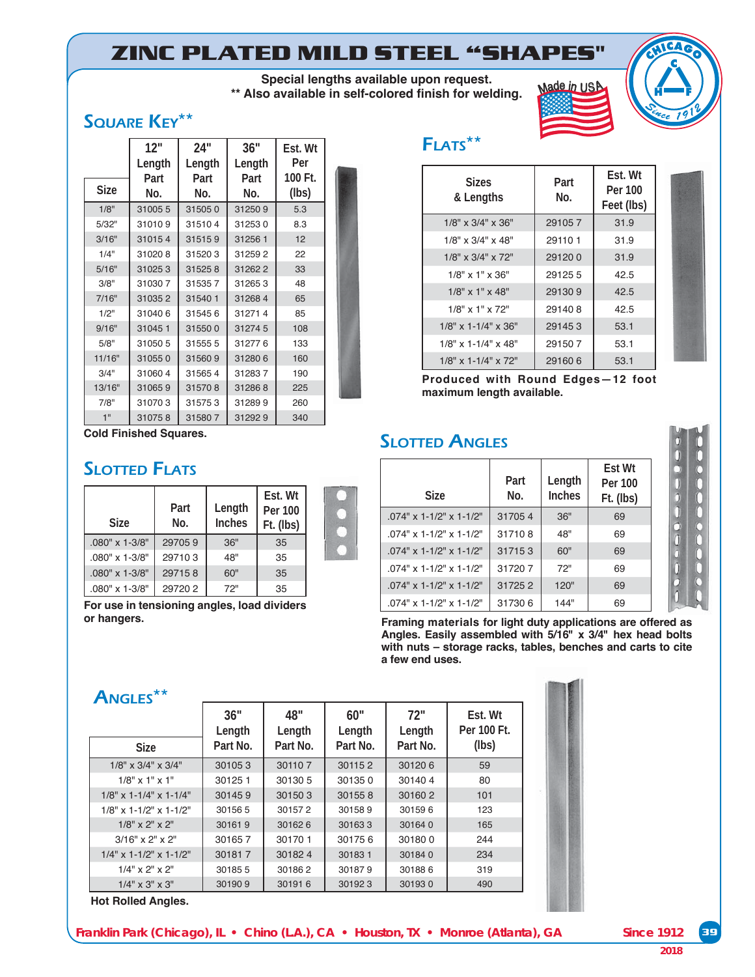# **ZINC PLATED MILD STEEL "SHAPES"**

**Special lengths available upon request.**  \*\* Also available in self-colored finish for welding.

## SQUARE KEY\*\*

|        | 12"     | 24"     | 36"    | Est. Wt |  |
|--------|---------|---------|--------|---------|--|
|        | Length  | Length  | Length | Per     |  |
|        | Part    | Part    | Part   | 100 Ft. |  |
| Size   | No.     | No.     | No.    | (lbs)   |  |
| 1/8"   | 310055  | 315050  | 312509 | 5.3     |  |
| 5/32"  | 310109  | 315104  | 312530 | 8.3     |  |
| 3/16"  | 310154  | 315159  | 312561 | 12      |  |
| 1/4"   | 310208  | 315203  | 312592 | 22      |  |
| 5/16"  | 310253  | 315258  | 312622 | 33      |  |
| 3/8"   | 310307  | 315357  | 312653 | 48      |  |
| 7/16"  | 310352  | 31540 1 | 312684 | 65      |  |
| 1/2"   | 310406  | 315456  | 312714 | 85      |  |
| 9/16"  | 310451  | 315500  | 312745 | 108     |  |
| 5/8"   | 31050 5 | 315555  | 312776 | 133     |  |
| 11/16" | 310550  | 315609  | 312806 | 160     |  |
| 3/4"   | 310604  | 315654  | 312837 | 190     |  |
| 13/16" | 310659  | 315708  | 312868 | 225     |  |
| 7/8"   | 310703  | 315753  | 312899 | 260     |  |
| 1"     | 310758  | 315807  | 312929 | 340     |  |

**Cold Finished Squares.**

#### **SLOTTED FLATS**

| <b>Size</b>             | Part<br>No. | Length<br><b>Inches</b> | Est. Wt<br>Per 100<br>Ft. (lbs) |  |
|-------------------------|-------------|-------------------------|---------------------------------|--|
| $.080" \times 1 - 3/8"$ | 297059      | 36"                     | 35                              |  |
| $.080" \times 1.3/8"$   | 297103      | 48"                     | 35                              |  |
| $.080" \times 1 - 3/8"$ | 297158      | 60"                     | 35                              |  |
| $.080" \times 1 - 3/8"$ | 297202      | 72"                     | 35                              |  |

For use in tensioning angles, load dividers **or hangers.**

## FLATS\*\*

| <b>Sizes</b><br>& Lengths     | Part<br>No. | Fst. Wt<br>Per 100<br>Feet (lbs) |
|-------------------------------|-------------|----------------------------------|
| $1/8" \times 3/4" \times 36"$ | 291057      | 31.9                             |
| $1/8"$ x $3/4"$ x $48"$       | 291101      | 31.9                             |
| $1/8"$ x $3/4"$ x $72"$       | 291200      | 31.9                             |
| $1/8"$ x $1"$ x $36"$         | 291255      | 42.5                             |
| $1/8"$ x 1" x 48"             | 291309      | 42.5                             |
| $1/8"$ x $1"$ x $72"$         | 291408      | 42.5                             |
| $1/8$ " x 1-1/4" x 36"        | 291453      | 53.1                             |
| $1/8"$ x 1-1/4" x 48"         | 291507      | 53.1                             |
| $1/8$ " x 1-1/4" x 72"        | 291606      | 53.1                             |

Mad<sup>e</sup> <sup>i</sup><sup>n</sup> <sup>U</sup>SA

**Produced with Round Edges-12 foot** maximum length available.

#### **SLOTTED ANGLES**

| <b>Size</b>               | Part<br>No. | Length<br><b>Inches</b> | Est Wt<br>Per 100<br>Ft. (lbs) |
|---------------------------|-------------|-------------------------|--------------------------------|
| $.074"$ x 1-1/2" x 1-1/2" | 317054      | 36"                     | 69                             |
| $.074"$ x 1-1/2" x 1-1/2" | 317108      | 48"                     | 69                             |
| $074"$ x 1-1/2" x 1-1/2"  | 317153      | 60"                     | 69                             |
| 074" x 1-1/2" x 1-1/2"    | 317207      | 72"                     | 69                             |
| $.074"$ x 1-1/2" x 1-1/2" | 317252      | 120"                    | 69                             |
| $.074"$ x 1-1/2" x 1-1/2" | 317306      | 144"                    | 69                             |

**Framing materials for light duty applications are offered as**  Angles. Easily assembled with 5/16" x 3/4" hex head bolts with nuts - storage racks, tables, benches and carts to cite a few end uses.

#### ANGLES\*\*

| <b>Size</b>                 | 36"<br>Length<br>Part No. | 48"<br>Length<br>Part No. | 60"<br>Length<br>Part No. | 72"<br>Length<br>Part No. | Est. Wt<br>Per 100 Ft.<br>(lbs) |
|-----------------------------|---------------------------|---------------------------|---------------------------|---------------------------|---------------------------------|
|                             |                           |                           |                           |                           |                                 |
| $1/8$ " x $3/4$ " x $3/4$ " | 301053                    | 301107                    | 301152                    | 301206                    | 59                              |
| $1/8"$ x 1" x 1"            | 301251                    | 30130 5                   | 301350                    | 301404                    | 80                              |
| $1/8$ " x 1-1/4" x 1-1/4"   | 301459                    | 301503                    | 301558                    | 301602                    | 101                             |
| $1/8$ " x 1-1/2" x 1-1/2"   | 301565                    | 301572                    | 301589                    | 301596                    | 123                             |
| $1/8"$ x 2" x 2"            | 301619                    | 301626                    | 301633                    | 301640                    | 165                             |
| $3/16"$ x $2"$ x $2"$       | 301657                    | 301701                    | 301756                    | 301800                    | 244                             |
| $1/4$ " x 1-1/2" x 1-1/2"   | 301817                    | 301824                    | 301831                    | 301840                    | 234                             |
| $1/4$ " x 2" x 2"           | 301855                    | 301862                    | 301879                    | 301886                    | 319                             |
| $1/4" \times 3" \times 3"$  | 301909                    | 301916                    | 301923                    | 301930                    | 490                             |

**Hot Rolled Angles.**